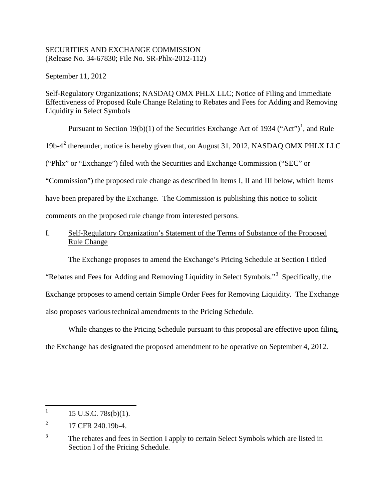## SECURITIES AND EXCHANGE COMMISSION (Release No. 34-67830; File No. SR-Phlx-2012-112)

September 11, 2012

Self-Regulatory Organizations; NASDAQ OMX PHLX LLC; Notice of Filing and Immediate Effectiveness of Proposed Rule Change Relating to Rebates and Fees for Adding and Removing Liquidity in Select Symbols

Pursuant to Section [1](#page-0-0)9(b)(1) of the Securities Exchange Act of 1934 ("Act")<sup>1</sup>, and Rule 19b-4[2](#page-0-1) thereunder, notice is hereby given that, on August 31, 2012, NASDAQ OMX PHLX LLC ("Phlx" or "Exchange") filed with the Securities and Exchange Commission ("SEC" or "Commission") the proposed rule change as described in Items I, II and III below, which Items have been prepared by the Exchange. The Commission is publishing this notice to solicit comments on the proposed rule change from interested persons.

# I. Self-Regulatory Organization's Statement of the Terms of Substance of the Proposed Rule Change

The Exchange proposes to amend the Exchange's Pricing Schedule at Section I titled

"Rebates and Fees for Adding and Removing Liquidity in Select Symbols."<sup>[3](#page-0-2)</sup> Specifically, the Exchange proposes to amend certain Simple Order Fees for Removing Liquidity. The Exchange also proposes various technical amendments to the Pricing Schedule.

While changes to the Pricing Schedule pursuant to this proposal are effective upon filing, the Exchange has designated the proposed amendment to be operative on September 4, 2012.

<span id="page-0-0"></span><sup>&</sup>lt;sup>1</sup> 15 U.S.C. 78s(b)(1).

<span id="page-0-1"></span> $^{2}$  17 CFR 240.19b-4.

<span id="page-0-2"></span><sup>&</sup>lt;sup>3</sup> The rebates and fees in Section I apply to certain Select Symbols which are listed in Section I of the Pricing Schedule.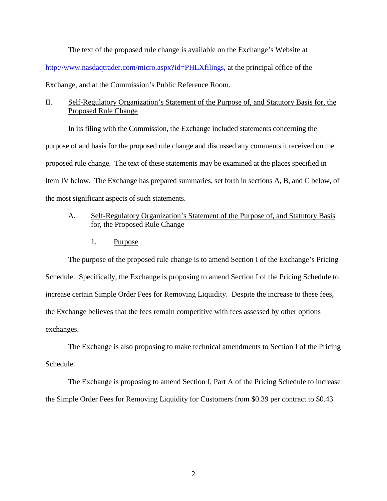The text of the proposed rule change is available on the Exchange's Website at http://www.nasdaqtrader.com/micro.aspx?id=PHLXfilings, at the principal office of the Exchange, and at the Commission's Public Reference Room.

### II. Self-Regulatory Organization's Statement of the Purpose of, and Statutory Basis for, the Proposed Rule Change

In its filing with the Commission, the Exchange included statements concerning the purpose of and basis for the proposed rule change and discussed any comments it received on the proposed rule change. The text of these statements may be examined at the places specified in Item IV below. The Exchange has prepared summaries, set forth in sections A, B, and C below, of the most significant aspects of such statements.

## A. Self-Regulatory Organization's Statement of the Purpose of, and Statutory Basis for, the Proposed Rule Change

1. Purpose

The purpose of the proposed rule change is to amend Section I of the Exchange's Pricing Schedule. Specifically, the Exchange is proposing to amend Section I of the Pricing Schedule to increase certain Simple Order Fees for Removing Liquidity. Despite the increase to these fees, the Exchange believes that the fees remain competitive with fees assessed by other options exchanges.

The Exchange is also proposing to make technical amendments to Section I of the Pricing Schedule.

The Exchange is proposing to amend Section I, Part A of the Pricing Schedule to increase the Simple Order Fees for Removing Liquidity for Customers from \$0.39 per contract to \$0.43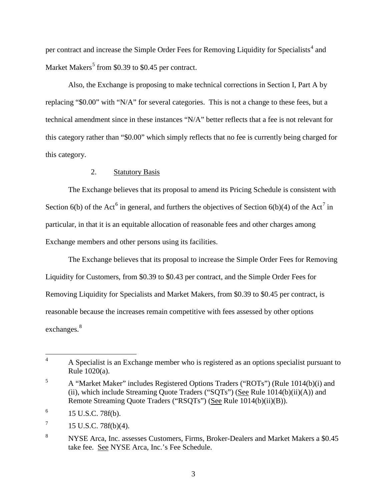per contract and increase the Simple Order Fees for Removing Liquidity for Specialists<sup>[4](#page-2-0)</sup> and Market Makers<sup>[5](#page-2-1)</sup> from \$0.39 to \$0.45 per contract.

Also, the Exchange is proposing to make technical corrections in Section I, Part A by replacing "\$0.00" with "N/A" for several categories. This is not a change to these fees, but a technical amendment since in these instances "N/A" better reflects that a fee is not relevant for this category rather than "\$0.00" which simply reflects that no fee is currently being charged for this category.

## 2. Statutory Basis

The Exchange believes that its proposal to amend its Pricing Schedule is consistent with Section [6](#page-2-2)(b) of the Act<sup>6</sup> in general, and furthers the objectives of Section 6(b)(4) of the Act<sup>[7](#page-2-3)</sup> in particular, in that it is an equitable allocation of reasonable fees and other charges among Exchange members and other persons using its facilities.

The Exchange believes that its proposal to increase the Simple Order Fees for Removing Liquidity for Customers, from \$0.39 to \$0.43 per contract, and the Simple Order Fees for Removing Liquidity for Specialists and Market Makers, from \$0.39 to \$0.45 per contract, is reasonable because the increases remain competitive with fees assessed by other options exchanges.<sup>[8](#page-2-4)</sup>

<span id="page-2-0"></span><sup>&</sup>lt;sup>4</sup> A Specialist is an Exchange member who is registered as an options specialist pursuant to Rule 1020(a).

<span id="page-2-1"></span><sup>5</sup> A "Market Maker" includes Registered Options Traders ("ROTs") (Rule 1014(b)(i) and (ii), which include Streaming Quote Traders (" $SOTs$ ") (See Rule  $1014(b)(ii)(A)$ ) and Remote Streaming Quote Traders ("RSQTs") (See Rule 1014(b)(ii)(B)).

<span id="page-2-2"></span> $^{6}$  15 U.S.C. 78f(b).

<span id="page-2-3"></span> $7 \t15$  U.S.C. 78f(b)(4).

<span id="page-2-4"></span><sup>8</sup> NYSE Arca, Inc. assesses Customers, Firms, Broker-Dealers and Market Makers a \$0.45 take fee. See NYSE Arca, Inc.'s Fee Schedule.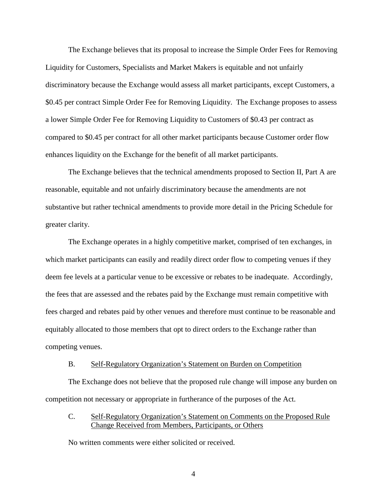The Exchange believes that its proposal to increase the Simple Order Fees for Removing Liquidity for Customers, Specialists and Market Makers is equitable and not unfairly discriminatory because the Exchange would assess all market participants, except Customers, a \$0.45 per contract Simple Order Fee for Removing Liquidity. The Exchange proposes to assess a lower Simple Order Fee for Removing Liquidity to Customers of \$0.43 per contract as compared to \$0.45 per contract for all other market participants because Customer order flow enhances liquidity on the Exchange for the benefit of all market participants.

The Exchange believes that the technical amendments proposed to Section II, Part A are reasonable, equitable and not unfairly discriminatory because the amendments are not substantive but rather technical amendments to provide more detail in the Pricing Schedule for greater clarity.

The Exchange operates in a highly competitive market, comprised of ten exchanges, in which market participants can easily and readily direct order flow to competing venues if they deem fee levels at a particular venue to be excessive or rebates to be inadequate. Accordingly, the fees that are assessed and the rebates paid by the Exchange must remain competitive with fees charged and rebates paid by other venues and therefore must continue to be reasonable and equitably allocated to those members that opt to direct orders to the Exchange rather than competing venues.

#### B. Self-Regulatory Organization's Statement on Burden on Competition

The Exchange does not believe that the proposed rule change will impose any burden on competition not necessary or appropriate in furtherance of the purposes of the Act.

C. Self-Regulatory Organization's Statement on Comments on the Proposed Rule Change Received from Members, Participants, or Others

No written comments were either solicited or received.

4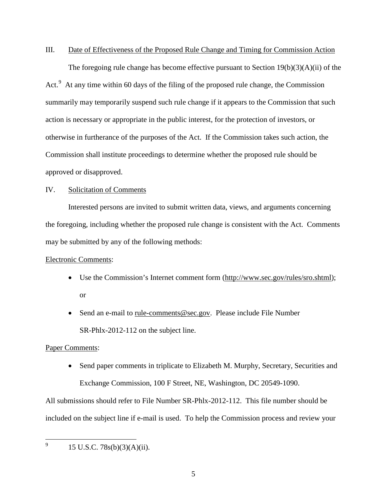III. Date of Effectiveness of the Proposed Rule Change and Timing for Commission Action

The foregoing rule change has become effective pursuant to Section 19(b)(3)(A)(ii) of the Act.<sup>[9](#page-4-0)</sup> At any time within 60 days of the filing of the proposed rule change, the Commission summarily may temporarily suspend such rule change if it appears to the Commission that such action is necessary or appropriate in the public interest, for the protection of investors, or otherwise in furtherance of the purposes of the Act. If the Commission takes such action, the Commission shall institute proceedings to determine whether the proposed rule should be approved or disapproved.

#### IV. Solicitation of Comments

Interested persons are invited to submit written data, views, and arguments concerning the foregoing, including whether the proposed rule change is consistent with the Act. Comments may be submitted by any of the following methods:

#### Electronic Comments:

- Use the Commission's Internet comment form [\(http://www.sec.gov/rules/sro.shtml\)](http://www.sec.gov/rules/sro.shtml); or
- Send an e-mail to [rule-comments@sec.gov.](mailto:rule-comments@sec.gov) Please include File Number SR-Phlx-2012-112 on the subject line.

#### Paper Comments:

• Send paper comments in triplicate to Elizabeth M. Murphy, Secretary, Securities and Exchange Commission, 100 F Street, NE, Washington, DC 20549-1090.

All submissions should refer to File Number SR-Phlx-2012-112. This file number should be included on the subject line if e-mail is used. To help the Commission process and review your

<span id="page-4-0"></span> $^{9}$  15 U.S.C. 78s(b)(3)(A)(ii).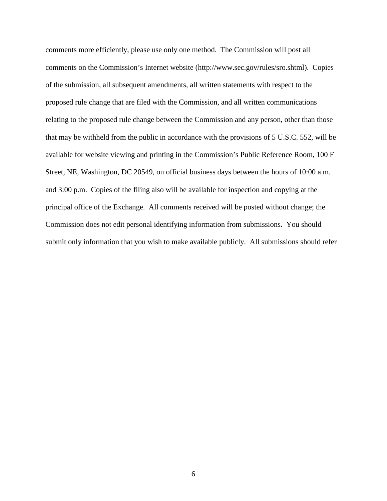comments more efficiently, please use only one method. The Commission will post all comments on the Commission's Internet website (http://www.sec.gov/rules/sro.shtml). Copies of the submission, all subsequent amendments, all written statements with respect to the proposed rule change that are filed with the Commission, and all written communications relating to the proposed rule change between the Commission and any person, other than those that may be withheld from the public in accordance with the provisions of 5 U.S.C. 552, will be available for website viewing and printing in the Commission's Public Reference Room, 100 F Street, NE, Washington, DC 20549, on official business days between the hours of 10:00 a.m. and 3:00 p.m. Copies of the filing also will be available for inspection and copying at the principal office of the Exchange. All comments received will be posted without change; the Commission does not edit personal identifying information from submissions. You should submit only information that you wish to make available publicly. All submissions should refer